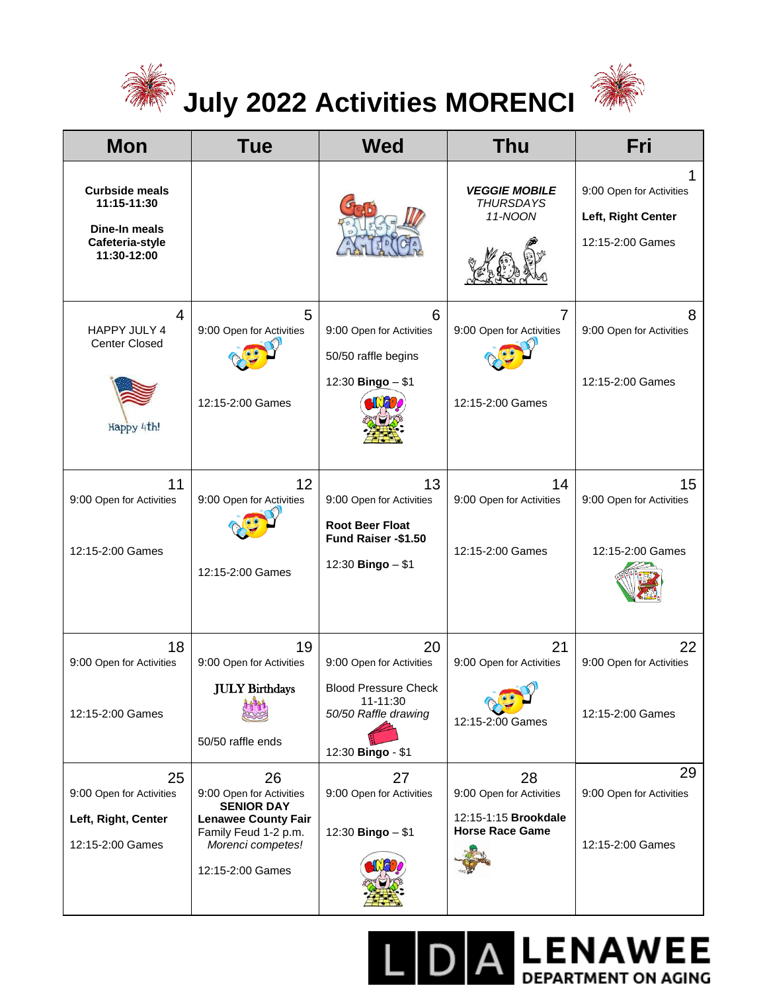

## **July 2022 Activities MORENCI**



**DA LENAWEE** 

| <b>Mon</b>                                                                              | <b>Tue</b>                                                                                                                                         | <b>Wed</b>                                                                                                             | <b>Thu</b>                                                                       | Fri                                                                |
|-----------------------------------------------------------------------------------------|----------------------------------------------------------------------------------------------------------------------------------------------------|------------------------------------------------------------------------------------------------------------------------|----------------------------------------------------------------------------------|--------------------------------------------------------------------|
| <b>Curbside meals</b><br>11:15-11:30<br>Dine-In meals<br>Cafeteria-style<br>11:30-12:00 |                                                                                                                                                    |                                                                                                                        | <b>VEGGIE MOBILE</b><br><b>THURSDAYS</b><br>11-NOON                              | 9:00 Open for Activities<br>Left, Right Center<br>12:15-2:00 Games |
| 4<br>HAPPY JULY 4<br><b>Center Closed</b><br>Happy 4th!                                 | 5<br>9:00 Open for Activities<br>12:15-2:00 Games                                                                                                  | 6<br>9:00 Open for Activities<br>50/50 raffle begins<br>12:30 Bingo - \$1                                              | 7<br>9:00 Open for Activities<br>12:15-2:00 Games                                | 8<br>9:00 Open for Activities<br>12:15-2:00 Games                  |
| 11<br>9:00 Open for Activities<br>12:15-2:00 Games                                      | 12<br>9:00 Open for Activities<br>12:15-2:00 Games                                                                                                 | 13<br>9:00 Open for Activities<br><b>Root Beer Float</b><br>Fund Raiser - \$1.50<br>12:30 Bingo - \$1                  | 14<br>9:00 Open for Activities<br>12:15-2:00 Games                               | 15<br>9:00 Open for Activities<br>12:15-2:00 Games                 |
| 18<br>9:00 Open for Activities<br>12:15-2:00 Games                                      | 19<br>9:00 Open for Activities<br><b>JULY Birthdays</b><br>50/50 raffle ends                                                                       | 20<br>9:00 Open for Activities<br><b>Blood Pressure Check</b><br>11-11:30<br>50/50 Raffle drawing<br>12:30 Bingo - \$1 | 21<br>9:00 Open for Activities<br>12:15-2:00 Games                               | 22<br>9:00 Open for Activities<br>12:15-2:00 Games                 |
| 25<br>9:00 Open for Activities<br>Left, Right, Center<br>12:15-2:00 Games               | 26<br>9:00 Open for Activities<br><b>SENIOR DAY</b><br><b>Lenawee County Fair</b><br>Family Feud 1-2 p.m.<br>Morenci competes!<br>12:15-2:00 Games | 27<br>9:00 Open for Activities<br>12:30 Bingo - \$1                                                                    | 28<br>9:00 Open for Activities<br>12:15-1:15 Brookdale<br><b>Horse Race Game</b> | 29<br>9:00 Open for Activities<br>12:15-2:00 Games                 |